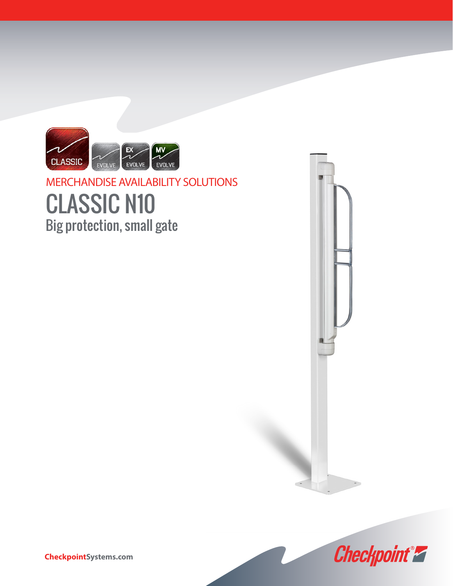

## CLASSIC N10 Big protection, small gate MERCHANDISE AVAILABILITY SOLUTIONS





**CheckpointSystems.com**